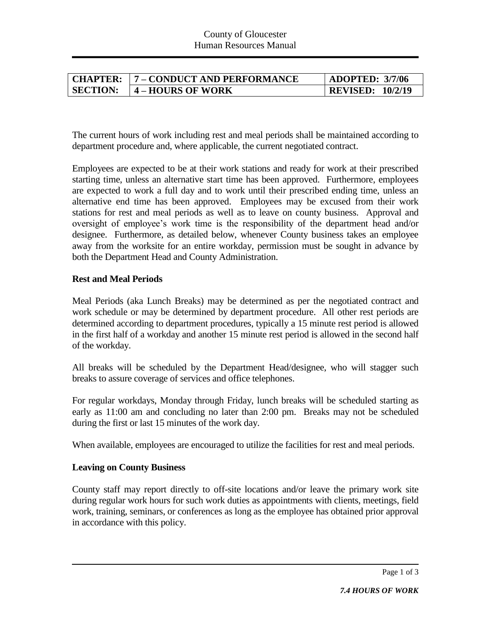| <b>CHAPTER:</b> | 7 - CONDUCT AND PERFORMANCE | <b>ADOPTED: 3/7/06</b>  |
|-----------------|-----------------------------|-------------------------|
| <b>SECTION:</b> | <b>4 – HOURS OF WORK</b>    | <b>REVISED: 10/2/19</b> |

The current hours of work including rest and meal periods shall be maintained according to department procedure and, where applicable, the current negotiated contract.

Employees are expected to be at their work stations and ready for work at their prescribed starting time, unless an alternative start time has been approved. Furthermore, employees are expected to work a full day and to work until their prescribed ending time, unless an alternative end time has been approved. Employees may be excused from their work stations for rest and meal periods as well as to leave on county business. Approval and oversight of employee's work time is the responsibility of the department head and/or designee. Furthermore, as detailed below, whenever County business takes an employee away from the worksite for an entire workday, permission must be sought in advance by both the Department Head and County Administration.

## **Rest and Meal Periods**

Meal Periods (aka Lunch Breaks) may be determined as per the negotiated contract and work schedule or may be determined by department procedure. All other rest periods are determined according to department procedures, typically a 15 minute rest period is allowed in the first half of a workday and another 15 minute rest period is allowed in the second half of the workday.

All breaks will be scheduled by the Department Head/designee, who will stagger such breaks to assure coverage of services and office telephones.

For regular workdays, Monday through Friday, lunch breaks will be scheduled starting as early as 11:00 am and concluding no later than 2:00 pm. Breaks may not be scheduled during the first or last 15 minutes of the work day.

When available, employees are encouraged to utilize the facilities for rest and meal periods.

# **Leaving on County Business**

County staff may report directly to off-site locations and/or leave the primary work site during regular work hours for such work duties as appointments with clients, meetings, field work, training, seminars, or conferences as long as the employee has obtained prior approval in accordance with this policy.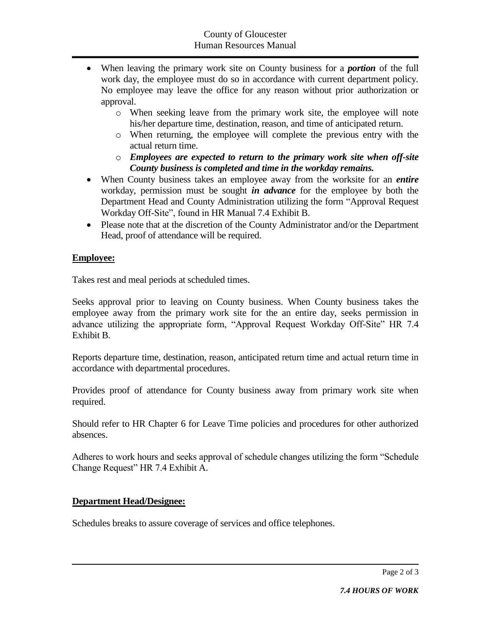- When leaving the primary work site on County business for a *portion* of the full work day, the employee must do so in accordance with current department policy. No employee may leave the office for any reason without prior authorization or approval.
	- o When seeking leave from the primary work site, the employee will note his/her departure time, destination, reason, and time of anticipated return.
	- o When returning, the employee will complete the previous entry with the actual return time.
	- o *Employees are expected to return to the primary work site when off-site County business is completed and time in the workday remains.*
- When County business takes an employee away from the worksite for an *entire* workday, permission must be sought *in advance* for the employee by both the Department Head and County Administration utilizing the form "Approval Request Workday Off-Site", found in HR Manual 7.4 Exhibit B.
- Please note that at the discretion of the County Administrator and/or the Department Head, proof of attendance will be required.

# **Employee:**

Takes rest and meal periods at scheduled times.

Seeks approval prior to leaving on County business. When County business takes the employee away from the primary work site for the an entire day, seeks permission in advance utilizing the appropriate form, "Approval Request Workday Off-Site" HR 7.4 Exhibit B.

Reports departure time, destination, reason, anticipated return time and actual return time in accordance with departmental procedures.

Provides proof of attendance for County business away from primary work site when required.

Should refer to HR Chapter 6 for Leave Time policies and procedures for other authorized absences.

Adheres to work hours and seeks approval of schedule changes utilizing the form "Schedule Change Request" HR 7.4 Exhibit A.

# **Department Head/Designee:**

Schedules breaks to assure coverage of services and office telephones.